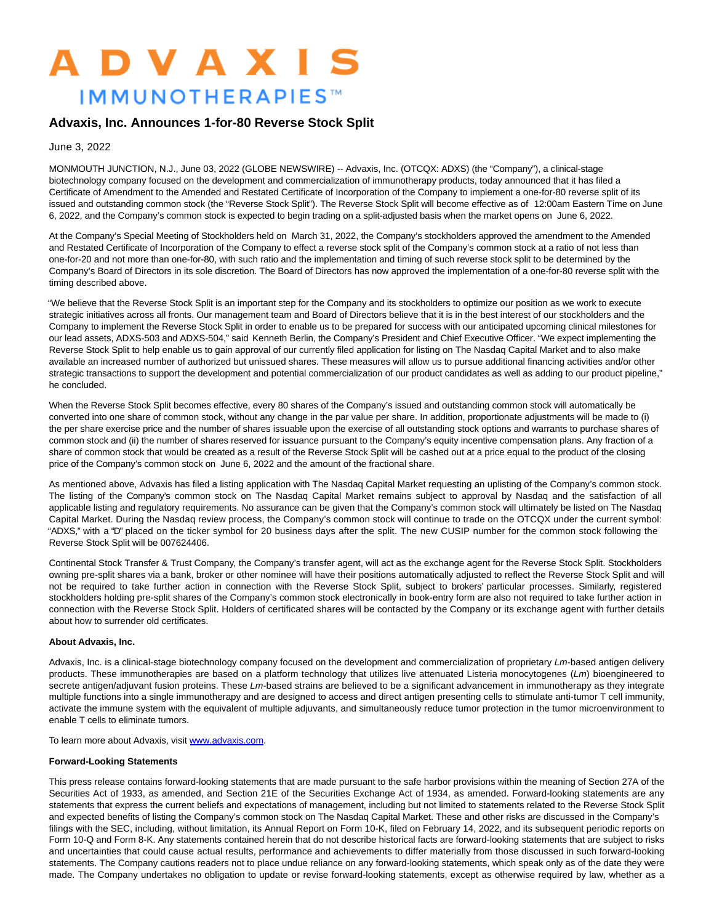# **ADVAXIS IMMUNOTHERAPIES™**

## **Advaxis, Inc. Announces 1-for-80 Reverse Stock Split**

June 3, 2022

MONMOUTH JUNCTION, N.J., June 03, 2022 (GLOBE NEWSWIRE) -- Advaxis, Inc. (OTCQX: ADXS) (the "Company"), a clinical-stage biotechnology company focused on the development and commercialization of immunotherapy products, today announced that it has filed a Certificate of Amendment to the Amended and Restated Certificate of Incorporation of the Company to implement a one-for-80 reverse split of its issued and outstanding common stock (the "Reverse Stock Split"). The Reverse Stock Split will become effective as of 12:00am Eastern Time on June 6, 2022, and the Company's common stock is expected to begin trading on a split-adjusted basis when the market opens on June 6, 2022.

At the Company's Special Meeting of Stockholders held on March 31, 2022, the Company's stockholders approved the amendment to the Amended and Restated Certificate of Incorporation of the Company to effect a reverse stock split of the Company's common stock at a ratio of not less than one-for-20 and not more than one-for-80, with such ratio and the implementation and timing of such reverse stock split to be determined by the Company's Board of Directors in its sole discretion. The Board of Directors has now approved the implementation of a one-for-80 reverse split with the timing described above.

"We believe that the Reverse Stock Split is an important step for the Company and its stockholders to optimize our position as we work to execute strategic initiatives across all fronts. Our management team and Board of Directors believe that it is in the best interest of our stockholders and the Company to implement the Reverse Stock Split in order to enable us to be prepared for success with our anticipated upcoming clinical milestones for our lead assets, ADXS-503 and ADXS-504," said Kenneth Berlin, the Company's President and Chief Executive Officer. "We expect implementing the Reverse Stock Split to help enable us to gain approval of our currently filed application for listing on The Nasdaq Capital Market and to also make available an increased number of authorized but unissued shares. These measures will allow us to pursue additional financing activities and/or other strategic transactions to support the development and potential commercialization of our product candidates as well as adding to our product pipeline," he concluded.

When the Reverse Stock Split becomes effective, every 80 shares of the Company's issued and outstanding common stock will automatically be converted into one share of common stock, without any change in the par value per share. In addition, proportionate adjustments will be made to (i) the per share exercise price and the number of shares issuable upon the exercise of all outstanding stock options and warrants to purchase shares of common stock and (ii) the number of shares reserved for issuance pursuant to the Company's equity incentive compensation plans. Any fraction of a share of common stock that would be created as a result of the Reverse Stock Split will be cashed out at a price equal to the product of the closing price of the Company's common stock on June 6, 2022 and the amount of the fractional share.

As mentioned above, Advaxis has filed a listing application with The Nasdaq Capital Market requesting an uplisting of the Company's common stock. The listing of the Company's common stock on The Nasdaq Capital Market remains subject to approval by Nasdaq and the satisfaction of all applicable listing and regulatory requirements. No assurance can be given that the Company's common stock will ultimately be listed on The Nasdaq Capital Market. During the Nasdaq review process, the Company's common stock will continue to trade on the OTCQX under the current symbol: "ADXS," with a "D" placed on the ticker symbol for 20 business days after the split. The new CUSIP number for the common stock following the Reverse Stock Split will be 007624406.

Continental Stock Transfer & Trust Company, the Company's transfer agent, will act as the exchange agent for the Reverse Stock Split. Stockholders owning pre-split shares via a bank, broker or other nominee will have their positions automatically adjusted to reflect the Reverse Stock Split and will not be required to take further action in connection with the Reverse Stock Split, subject to brokers' particular processes. Similarly, registered stockholders holding pre-split shares of the Company's common stock electronically in book-entry form are also not required to take further action in connection with the Reverse Stock Split. Holders of certificated shares will be contacted by the Company or its exchange agent with further details about how to surrender old certificates.

#### **About Advaxis, Inc.**

Advaxis, Inc. is a clinical-stage biotechnology company focused on the development and commercialization of proprietary Lm-based antigen delivery products. These immunotherapies are based on a platform technology that utilizes live attenuated Listeria monocytogenes (Lm) bioengineered to secrete antigen/adjuvant fusion proteins. These Lm-based strains are believed to be a significant advancement in immunotherapy as they integrate multiple functions into a single immunotherapy and are designed to access and direct antigen presenting cells to stimulate anti-tumor T cell immunity, activate the immune system with the equivalent of multiple adjuvants, and simultaneously reduce tumor protection in the tumor microenvironment to enable T cells to eliminate tumors.

To learn more about Advaxis, visi[t www.advaxis.com.](https://www.globenewswire.com/Tracker?data=ZSIWjuKBN2Kfp7e379pcR3vvBFQXL1c8GUdpLhL-rzGeS6Rzc0dBqqMnaf2AkeOB2_uKFo8N4zBkBbvi3LRkvg==) 

#### **Forward-Looking Statements**

This press release contains forward-looking statements that are made pursuant to the safe harbor provisions within the meaning of Section 27A of the Securities Act of 1933, as amended, and Section 21E of the Securities Exchange Act of 1934, as amended. Forward-looking statements are any statements that express the current beliefs and expectations of management, including but not limited to statements related to the Reverse Stock Split and expected benefits of listing the Company's common stock on The Nasdaq Capital Market. These and other risks are discussed in the Company's filings with the SEC, including, without limitation, its Annual Report on Form 10-K, filed on February 14, 2022, and its subsequent periodic reports on Form 10-Q and Form 8-K. Any statements contained herein that do not describe historical facts are forward-looking statements that are subject to risks and uncertainties that could cause actual results, performance and achievements to differ materially from those discussed in such forward-looking statements. The Company cautions readers not to place undue reliance on any forward-looking statements, which speak only as of the date they were made. The Company undertakes no obligation to update or revise forward-looking statements, except as otherwise required by law, whether as a